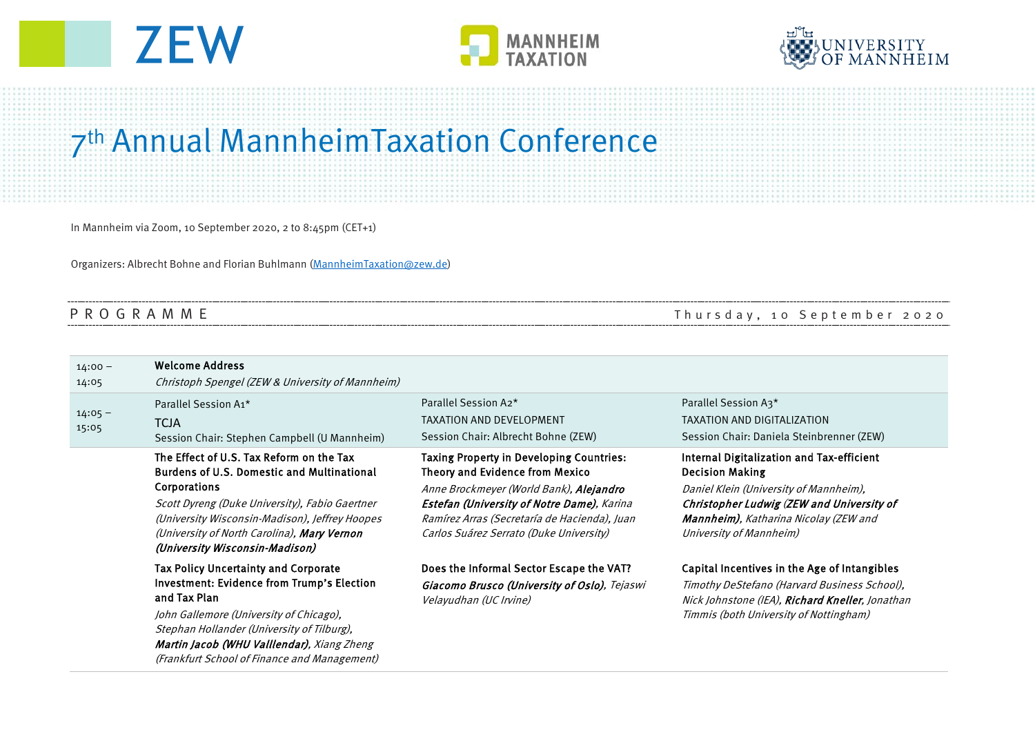





## 7th Annual MannheimTaxation Conference

In Mannheim via Zoom, 10 September 2020, 2 to 8:45pm (CET+1)

Organizers: Albrecht Bohne and Florian Buhlmann [\(MannheimTaxation@zew.de\)](mailto:MannheimTaxation@zew.de)

PROGRAMME Thursday, 10 September 2020

| $14:00 -$<br>14:05 | <b>Welcome Address</b><br>Christoph Spengel (ZEW & University of Mannheim)                                                                                                                                                                                                                                |                                                                                                                                                                                                                                                                        |                                                                                                                                                                                                                                        |
|--------------------|-----------------------------------------------------------------------------------------------------------------------------------------------------------------------------------------------------------------------------------------------------------------------------------------------------------|------------------------------------------------------------------------------------------------------------------------------------------------------------------------------------------------------------------------------------------------------------------------|----------------------------------------------------------------------------------------------------------------------------------------------------------------------------------------------------------------------------------------|
| $14:05 -$<br>15:05 | Parallel Session A1*<br><b>TCJA</b><br>Session Chair: Stephen Campbell (U Mannheim)                                                                                                                                                                                                                       | Parallel Session A2*<br><b>TAXATION AND DEVELOPMENT</b><br>Session Chair: Albrecht Bohne (ZEW)                                                                                                                                                                         | Parallel Session A3*<br>TAXATION AND DIGITALIZATION<br>Session Chair: Daniela Steinbrenner (ZEW)                                                                                                                                       |
|                    | The Effect of U.S. Tax Reform on the Tax<br><b>Burdens of U.S. Domestic and Multinational</b><br>Corporations<br>Scott Dyreng (Duke University), Fabio Gaertner<br>(University Wisconsin-Madison), Jeffrey Hoopes<br>(University of North Carolina), <b>Mary Vernon</b><br>(University Wisconsin-Madison) | <b>Taxing Property in Developing Countries:</b><br>Theory and Evidence from Mexico<br>Anne Brockmeyer (World Bank), Alejandro<br>Estefan (University of Notre Dame), Karina<br>Ramírez Arras (Secretaría de Hacienda), Juan<br>Carlos Suárez Serrato (Duke University) | Internal Digitalization and Tax-efficient<br><b>Decision Making</b><br>Daniel Klein (University of Mannheim),<br>Christopher Ludwig (ZEW and University of<br><b>Mannheim)</b> , Katharina Nicolay (ZEW and<br>University of Mannheim) |
|                    | <b>Tax Policy Uncertainty and Corporate</b><br>Investment: Evidence from Trump's Election<br>and Tax Plan<br>John Gallemore (University of Chicago),<br>Stephan Hollander (University of Tilburg),<br>Martin Jacob (WHU Valllendar), Xiang Zheng<br>(Frankfurt School of Finance and Management)          | Does the Informal Sector Escape the VAT?<br>Giacomo Brusco (University of Oslo), Tejaswi<br>Velayudhan (UC Irvine)                                                                                                                                                     | Capital Incentives in the Age of Intangibles<br>Timothy DeStefano (Harvard Business School),<br>Nick Johnstone (IEA), Richard Kneller, Jonathan<br>Timmis (both University of Nottingham)                                              |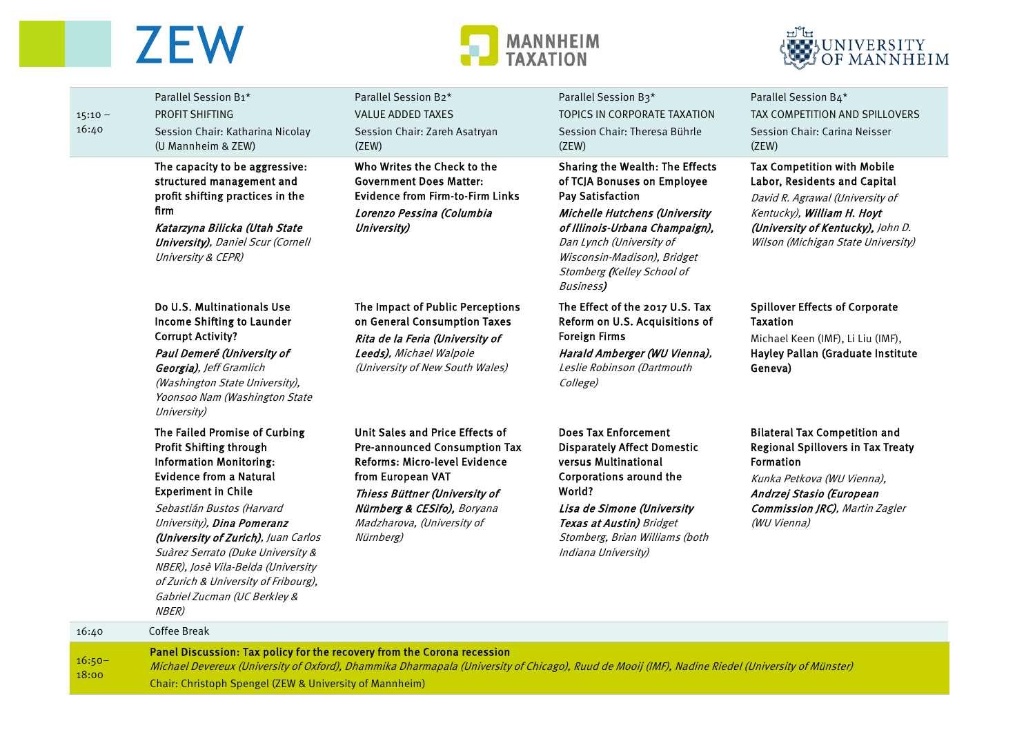## **ZEW**

 $16:50-$ 

18:00

Chair: Christoph Spengel (ZEW & University of Mannheim)





|                    | Panel Discussion: Tax policy for the recovery from the Corona recession                                                                                                                                                                                                                                                                                                                                                  |                                                                                                                                                                                                                                          |                                                                                                                                                                                                                                                                            |                                                                                                                                                                                                                         |
|--------------------|--------------------------------------------------------------------------------------------------------------------------------------------------------------------------------------------------------------------------------------------------------------------------------------------------------------------------------------------------------------------------------------------------------------------------|------------------------------------------------------------------------------------------------------------------------------------------------------------------------------------------------------------------------------------------|----------------------------------------------------------------------------------------------------------------------------------------------------------------------------------------------------------------------------------------------------------------------------|-------------------------------------------------------------------------------------------------------------------------------------------------------------------------------------------------------------------------|
| 16:40              | Coffee Break                                                                                                                                                                                                                                                                                                                                                                                                             |                                                                                                                                                                                                                                          |                                                                                                                                                                                                                                                                            |                                                                                                                                                                                                                         |
|                    | The Failed Promise of Curbing<br>Profit Shifting through<br><b>Information Monitoring:</b><br><b>Evidence from a Natural</b><br><b>Experiment in Chile</b><br>Sebastián Bustos (Harvard<br>University), Dina Pomeranz<br>(University of Zurich), Juan Carlos<br>Suàrez Serrato (Duke University &<br>NBER), Josè Vila-Belda (University<br>of Zurich & University of Fribourg),<br>Gabriel Zucman (UC Berkley &<br>NBER) | Unit Sales and Price Effects of<br><b>Pre-announced Consumption Tax</b><br>Reforms: Micro-level Evidence<br>from European VAT<br>Thiess Büttner (University of<br>Nürnberg & CESifo), Boryana<br>Madzharova, (University of<br>Nürnberg) | <b>Does Tax Enforcement</b><br><b>Disparately Affect Domestic</b><br>versus Multinational<br>Corporations around the<br>World?<br>Lisa de Simone (University<br>Texas at Austin) Bridget<br>Stomberg, Brian Williams (both<br>Indiana University)                          | <b>Bilateral Tax Competition and</b><br><b>Regional Spillovers in Tax Treaty</b><br><b>Formation</b><br>Kunka Petkova (WU Vienna),<br>Andrzej Stasio (European<br><b>Commission JRC)</b> , Martin Zagler<br>(WU Vienna) |
|                    | Do U.S. Multinationals Use<br>Income Shifting to Launder<br><b>Corrupt Activity?</b><br>Paul Demeré (University of<br>Georgia), Jeff Gramlich<br>(Washington State University),<br>Yoonsoo Nam (Washington State<br>University)                                                                                                                                                                                          | The Impact of Public Perceptions<br>on General Consumption Taxes<br>Rita de la Feria (University of<br>Leeds), Michael Walpole<br>(University of New South Wales)                                                                        | The Effect of the 2017 U.S. Tax<br>Reform on U.S. Acquisitions of<br><b>Foreign Firms</b><br>Harald Amberger (WU Vienna),<br>Leslie Robinson (Dartmouth<br>College)                                                                                                        | <b>Spillover Effects of Corporate</b><br><b>Taxation</b><br>Michael Keen (IMF), Li Liu (IMF),<br>Hayley Pallan (Graduate Institute<br>Geneva)                                                                           |
|                    | The capacity to be aggressive:<br>structured management and<br>profit shifting practices in the<br>firm<br>Katarzyna Bilicka (Utah State<br><b>University)</b> , Daniel Scur (Cornell<br>University & CEPR)                                                                                                                                                                                                              | Who Writes the Check to the<br><b>Government Does Matter:</b><br><b>Evidence from Firm-to-Firm Links</b><br>Lorenzo Pessina (Columbia<br>University)                                                                                     | Sharing the Wealth: The Effects<br>of TCJA Bonuses on Employee<br><b>Pay Satisfaction</b><br>Michelle Hutchens (University<br>of Illinois-Urbana Champaign),<br>Dan Lynch (University of<br>Wisconsin-Madison), Bridget<br>Stomberg (Kelley School of<br><b>Business</b> ) | <b>Tax Competition with Mobile</b><br>Labor, Residents and Capital<br>David R. Agrawal (University of<br>Kentucky), William H. Hoyt<br>(University of Kentucky), John D.<br>Wilson (Michigan State University)          |
| $15:10 -$<br>16:40 | Parallel Session B1*<br>PROFIT SHIFTING<br>Session Chair: Katharina Nicolay<br>(U Mannheim & ZEW)                                                                                                                                                                                                                                                                                                                        | Parallel Session B2*<br><b>VALUE ADDED TAXES</b><br>Session Chair: Zareh Asatryan<br>(ZEW)                                                                                                                                               | Parallel Session B3*<br>TOPICS IN CORPORATE TAXATION<br>Session Chair: Theresa Bührle<br>(ZEW)                                                                                                                                                                             | Parallel Session B4*<br>TAX COMPETITION AND SPILLOVERS<br>Session Chair: Carina Neisser<br>(ZEW)                                                                                                                        |
|                    |                                                                                                                                                                                                                                                                                                                                                                                                                          |                                                                                                                                                                                                                                          |                                                                                                                                                                                                                                                                            |                                                                                                                                                                                                                         |

Michael Devereux (University of Oxford), Dhammika Dharmapala (University of Chicago), Ruud de Mooij (IMF), Nadine Riedel (University of Münster)